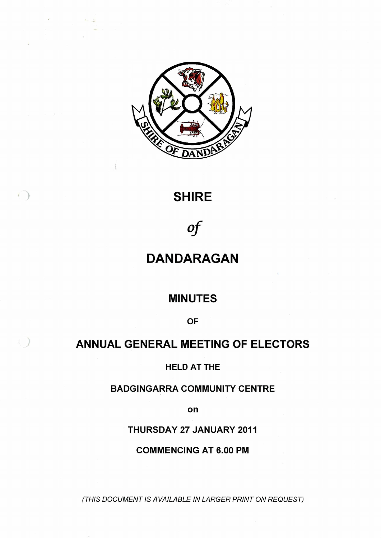

## **SHIRE**

# *of*

## **DANDARAGAN**

## **MINUTES**

**OF**

## **ANNUAL GENERAL MEETING OF ELECTORS**

### **HELD AT THE**

## **BADGINGARRA COMMUNITY CENTRE**

**on**

## **THURSDAY 27 JANUARY 2011**

## **COMMENCING AT 6.00 PM**

*(THIS DOCUMENT IS AVAILABLE IN LARGER PRINT ON REQUEST)*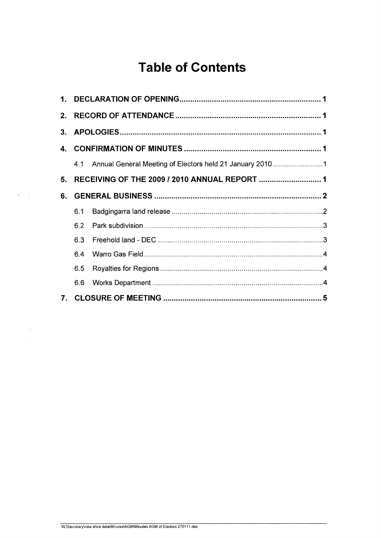# **Table of Contents**

| 1.             |     |                                                              |  |
|----------------|-----|--------------------------------------------------------------|--|
| 2.             |     |                                                              |  |
| 3.             |     |                                                              |  |
| 4.             |     |                                                              |  |
|                |     | 4.1 Annual General Meeting of Electors held 21 January 20101 |  |
| 5 <sub>1</sub> |     |                                                              |  |
| 6.             |     |                                                              |  |
|                | 6.1 |                                                              |  |
|                | 6.2 |                                                              |  |
|                | 6.3 |                                                              |  |
|                | 6.4 |                                                              |  |
|                | 6.5 |                                                              |  |
|                | 6.6 |                                                              |  |
| 7.             |     |                                                              |  |

 $\label{eq:2.1} \mathcal{F} = \left\{ \begin{array}{ll} 0 & \text{if } \mathcal{F} \in \mathcal{F}^{\text{max}}_{\mathcal{F}} \text{ and } \mathcal{F}^{\text{max}}_{\mathcal{F}} \text{ and } \mathcal{F}^{\text{max}}_{\mathcal{F}} \text{ and } \mathcal{F}^{\text{max}}_{\mathcal{F}} \text{ and } \mathcal{F}^{\text{max}}_{\mathcal{F}} \text{ and } \mathcal{F}^{\text{max}}_{\mathcal{F}} \text{ and } \mathcal{F}^{\text{max}}_{\mathcal{F}} \text{ and } \mathcal{F}^{\text$ 

 $\tilde{\mathcal{S}}$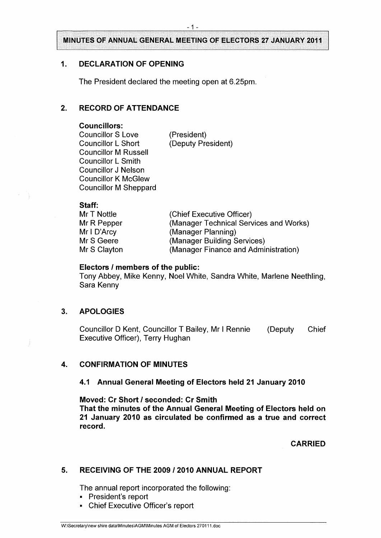#### <span id="page-2-0"></span>**1. DECLARATION OF OPENING**

The President declared the meeting open at 6.25pm.

#### **2. RECORD OF ATTENDANCE**

#### **Councillors:**

Councillor S Love Councillor L Short Councillor M Russell Councillor L Smith Councillor J Nelson Councillor K McGlew Councillor M Sheppard

(President) (Deputy President)

#### **Staff:**

| Mr T Nottle  | (Chief Executive Officer)              |
|--------------|----------------------------------------|
| Mr R Pepper  | (Manager Technical Services and Works) |
| MrI D'Arcy   | (Manager Planning)                     |
| Mr S Geere   | (Manager Building Services)            |
| Mr S Clayton | (Manager Finance and Administration)   |

#### **Electors / members of the public:**

Tony Abbey, Mike Kenny, Noel White, Sandra White, Marlene Neethling, Sara Kenny

#### <span id="page-2-1"></span>**3. APOLOGIES**

Councillor D Kent, Councillor T Bailey, Mr <sup>I</sup> Rennie (Deputy Chief Executive Officer), Terry Hughan

#### <span id="page-2-2"></span>**4. CONFIRMATION OF MINUTES**

#### **4.1 Annual General Meeting of Electors held 21 January 2010**

**Moved: Cr Short / seconded: Cr Smith That the minutes of the Annual General Meeting of Electors held on 21 January 2010 as circulated be confirmed as a true and correct record.**

**CARRIED**

#### <span id="page-2-3"></span>**5. RECEIVING OF THE 2009 / 2010 ANNUAL REPORT**

The annual report incorporated the following:

- President's report
- \* Chief Executive Officer's report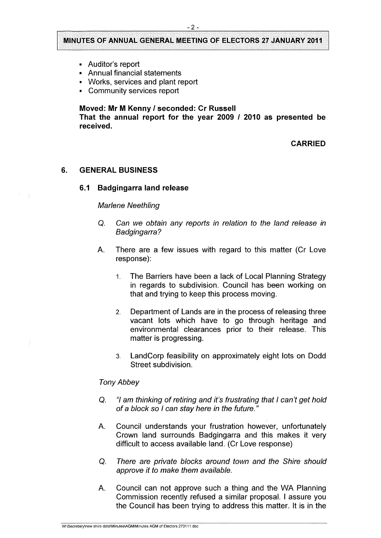- Auditor's report
- Annual financial statements
- Works, services and plant report
- Community services report

**Moved: Mr M Kenny / seconded: Cr Russell**

**That the annual report for the year 2009 / 2010 as presented be received.**

**CARRIED**

#### <span id="page-3-1"></span><span id="page-3-0"></span>**6. GENERAL BUSINESS**

#### **6.1 Badgingarra land release**

#### *Marlene Neethling*

- *Q. Can we obtain any reports in relation to the land release in Badgingarra?*
- A. There are a few issues with regard to this matter (Cr Love response):
	- 1. The Barriers have been a lack of Local Planning Strategy in regards to subdivision. Council has been working on that and trying to keep this process moving.
	- 2. Department of Lands are in the process of releasing three vacant lots which have to go through heritage and environmental clearances prior to their release. This matter is progressing.
	- 3. LandCorp feasibility on approximately eight lots on Dodd Street subdivision.

#### *Tony Abbey*

- Q. *"I am thinking of retiring and it's frustrating that I can't get hold of a block so I can stay here in the future."*
- A. Council understands your frustration however, unfortunately Crown land surrounds Badgingarra and this makes it very difficult to access available land. (Cr Love response)
- Q. *There are private blocks around town and the Shire should approve it to make them available.*
- A. Council can not approve such a thing and the WA Planning Commission recently refused a similar proposal. <sup>I</sup> assure you the Council has been trying to address this matter. It is in the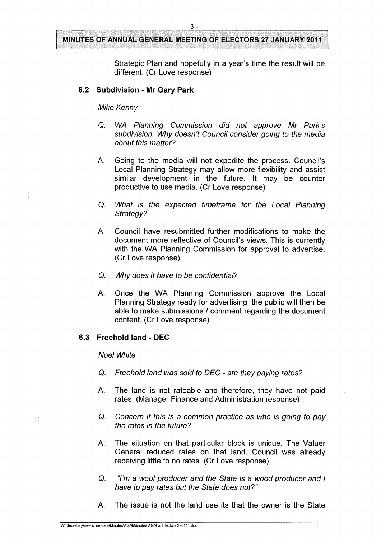Strategic Plan and hopefully in a year's time the result will be different. (Cr Love response)

#### **6.2 Subdivision - Mr Gary Park**

#### *Mike Kenny*

- Q. *WA Planning Commission did not approve Mr Park's subdivision. Why doesn't Council consider going to the media about this matter?*
- A. Going to the media will not expedite the process. Council's Local Planning Strategy may allow more flexibility and assist similar development in the future. It may be counter productive to use media. (Cr Love response)
- Q. *What is the expected timeframe for the Local Planning Strategy?*
- A. Council have resubmitted further modifications to make the document more reflective of Council's views. This is currently with the WA Planning Commission for approval to advertise. (CrLove response)
- Q. *Why does it have to be confidential?*
- A. Once the WA Planning Commission approve the Local Planning Strategy ready for advertising, the public will then be able to make submissions / comment regarding the document content. (Cr Love response)

#### <span id="page-4-0"></span>**6.3 Freehold land - DEC**

#### *Noel White*

- Q. *Freehold land* was *sold to DEC - are they paying rates?*
- A. The land is not rateable and therefore, they have not paid rates. (Manager Finance and Administration response)
- Q. *Concern if this is a common practice as who is going to pay the rates in the future?*
- A. The situation on that particular block is unique. The Valuer General reduced rates on that land. Council was already receiving little to no rates. (Cr Love response)
- Q. *"I'm a wool producer and the State is a wood producer and <sup>I</sup> have to pay rates but the State does not?"*
- A. The issue is not the land use its that the owner is the State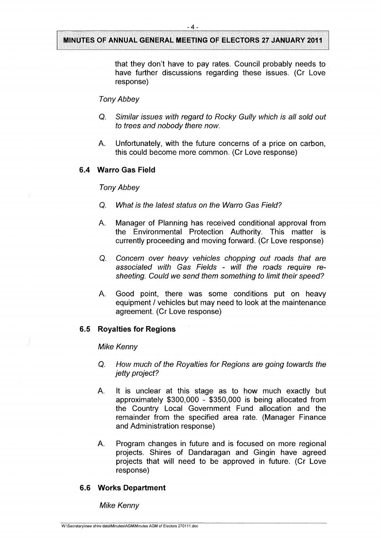that they don't have to pay rates. Council probably needs to have further discussions regarding these issues. (Cr Love response)

#### *Tony Abbey*

- Q. *Similar issues with regard to Rocky Gully which is all sold out to trees and nobody there now.*
- A. Unfortunately, with the future concerns of a price on carbon, this could become more common. (Cr Love response)

#### <span id="page-6-0"></span>**6.4 Warm Gas Field**

#### *Tony Abbey*

- Q. *What is the latest status on the Warro Gas Field?*
- A. Manager of Planning has received conditional approval from the Environmental Protection Authority. This matter is currently proceeding and moving forward. (Cr Love response)
- Q. *Concern over heavy vehicles chopping out roads that are associated with Gas Fields* - *will the roads require resheeting. Could we send them something to limit their speed?*
- A. Good point, there was some conditions put on heavy equipment / vehicles but may need to look at the maintenance agreement. (Cr Love response)

#### <span id="page-6-1"></span>**6.5 Royalties for Regions**

#### *Mike Kenny*

- *Q. How much of the Royalties for Regions are going towards the jetty project?*
- A. It is unclear at this stage as to how much exactly but approximately \$300,000 - \$350,000 is being allocated from the Country Local Government Fund allocation and the remainder from the specified area rate. (Manager Finance and Administration response)
- A. Program changes in future and is focused on more regional projects. Shires of Dandaragan and Gingin have agreed projects that will need to be approved in future. (Cr Love response)

#### <span id="page-6-2"></span>**6.6 Works Department**

*Mike Kenny*